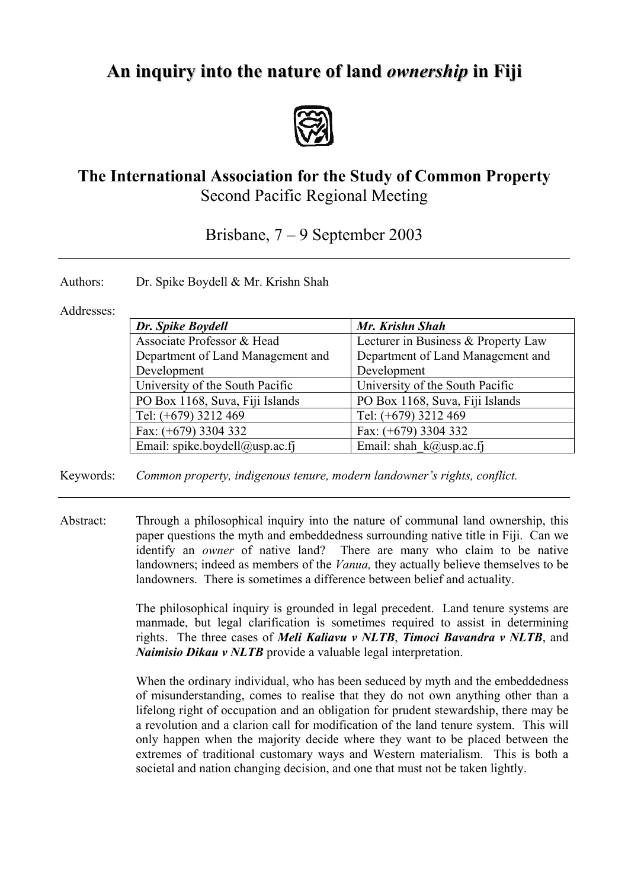## **An inquiry into the nature of land** *ownership* **in Fiji**



## **The International Association for the Study of Common Property** Second Pacific Regional Meeting

Brisbane, 7 – 9 September 2003

Authors: Dr. Spike Boydell & Mr. Krishn Shah

## Addresses:

| Dr. Spike Boydell                 | Mr. Krishn Shah                     |
|-----------------------------------|-------------------------------------|
| Associate Professor & Head        | Lecturer in Business & Property Law |
| Department of Land Management and | Department of Land Management and   |
| Development                       | Development                         |
| University of the South Pacific   | University of the South Pacific     |
| PO Box 1168, Suva, Fiji Islands   | PO Box 1168, Suva, Fiji Islands     |
| Tel: (+679) 3212 469              | Tel: (+679) 3212 469                |
| Fax: $(+679)$ 3304 332            | Fax: $(+679)$ 3304 332              |
| Email: spike.boydell@usp.ac.fj    | Email: shah $k(a)$ usp.ac.fj        |

Keywords: *Common property, indigenous tenure, modern landowner's rights, conflict.*

Abstract: Through a philosophical inquiry into the nature of communal land ownership, this paper questions the myth and embeddedness surrounding native title in Fiji. Can we identify an *owner* of native land? There are many who claim to be native landowners; indeed as members of the *Vanua,* they actually believe themselves to be landowners. There is sometimes a difference between belief and actuality.

> The philosophical inquiry is grounded in legal precedent. Land tenure systems are manmade, but legal clarification is sometimes required to assist in determining rights. The three cases of *Meli Kaliavu v NLTB*, *Timoci Bavandra v NLTB*, and *Naimisio Dikau v NLTB* provide a valuable legal interpretation.

> When the ordinary individual, who has been seduced by myth and the embeddedness of misunderstanding, comes to realise that they do not own anything other than a lifelong right of occupation and an obligation for prudent stewardship, there may be a revolution and a clarion call for modification of the land tenure system. This will only happen when the majority decide where they want to be placed between the extremes of traditional customary ways and Western materialism. This is both a societal and nation changing decision, and one that must not be taken lightly.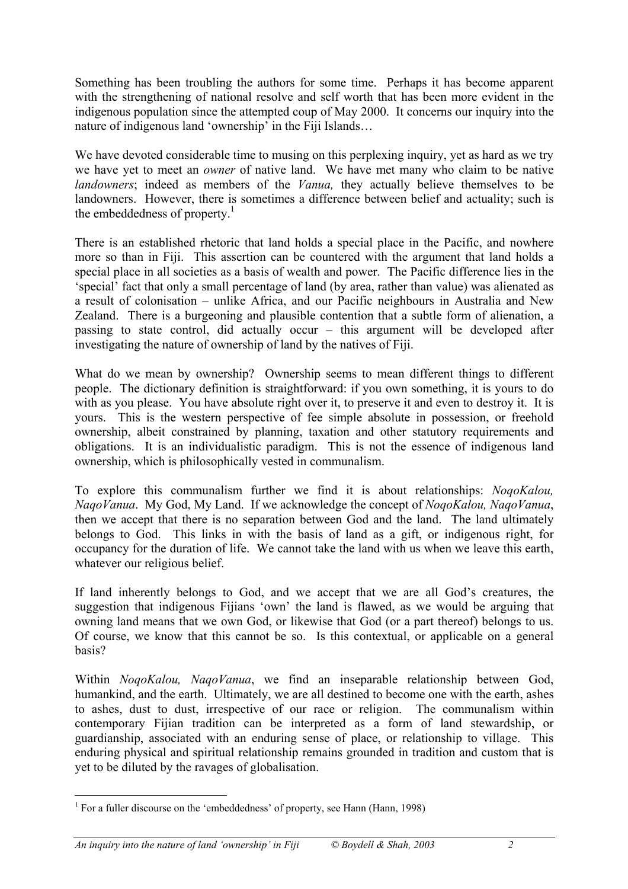Something has been troubling the authors for some time. Perhaps it has become apparent with the strengthening of national resolve and self worth that has been more evident in the indigenous population since the attempted coup of May 2000. It concerns our inquiry into the nature of indigenous land 'ownership' in the Fiji Islands…

We have devoted considerable time to musing on this perplexing inquiry, yet as hard as we try we have yet to meet an *owner* of native land. We have met many who claim to be native *landowners*; indeed as members of the *Vanua,* they actually believe themselves to be landowners. However, there is sometimes a difference between belief and actuality; such is the embeddedness of property. $\frac{1}{1}$ 

There is an established rhetoric that land holds a special place in the Pacific, and nowhere more so than in Fiji. This assertion can be countered with the argument that land holds a special place in all societies as a basis of wealth and power. The Pacific difference lies in the 'special' fact that only a small percentage of land (by area, rather than value) was alienated as a result of colonisation – unlike Africa, and our Pacific neighbours in Australia and New Zealand. There is a burgeoning and plausible contention that a subtle form of alienation, a passing to state control, did actually occur – this argument will be developed after investigating the nature of ownership of land by the natives of Fiji.

What do we mean by ownership? Ownership seems to mean different things to different people. The dictionary definition is straightforward: if you own something, it is yours to do with as you please. You have absolute right over it, to preserve it and even to destroy it. It is yours. This is the western perspective of fee simple absolute in possession, or freehold ownership, albeit constrained by planning, taxation and other statutory requirements and obligations. It is an individualistic paradigm. This is not the essence of indigenous land ownership, which is philosophically vested in communalism.

To explore this communalism further we find it is about relationships: *NoqoKalou, NaqoVanua*. My God, My Land. If we acknowledge the concept of *NoqoKalou, NaqoVanua*, then we accept that there is no separation between God and the land. The land ultimately belongs to God. This links in with the basis of land as a gift, or indigenous right, for occupancy for the duration of life. We cannot take the land with us when we leave this earth, whatever our religious belief.

If land inherently belongs to God, and we accept that we are all God's creatures, the suggestion that indigenous Fijians 'own' the land is flawed, as we would be arguing that owning land means that we own God, or likewise that God (or a part thereof) belongs to us. Of course, we know that this cannot be so. Is this contextual, or applicable on a general basis?

Within *NoqoKalou, NaqoVanua*, we find an inseparable relationship between God, humankind, and the earth. Ultimately, we are all destined to become one with the earth, ashes to ashes, dust to dust, irrespective of our race or religion. The communalism within contemporary Fijian tradition can be interpreted as a form of land stewardship, or guardianship, associated with an enduring sense of place, or relationship to village. This enduring physical and spiritual relationship remains grounded in tradition and custom that is yet to be diluted by the ravages of globalisation.

<span id="page-1-0"></span><sup>&</sup>lt;sup>1</sup> For a fuller discourse on the 'embeddedness' of property, see Hann (Hann, 1998)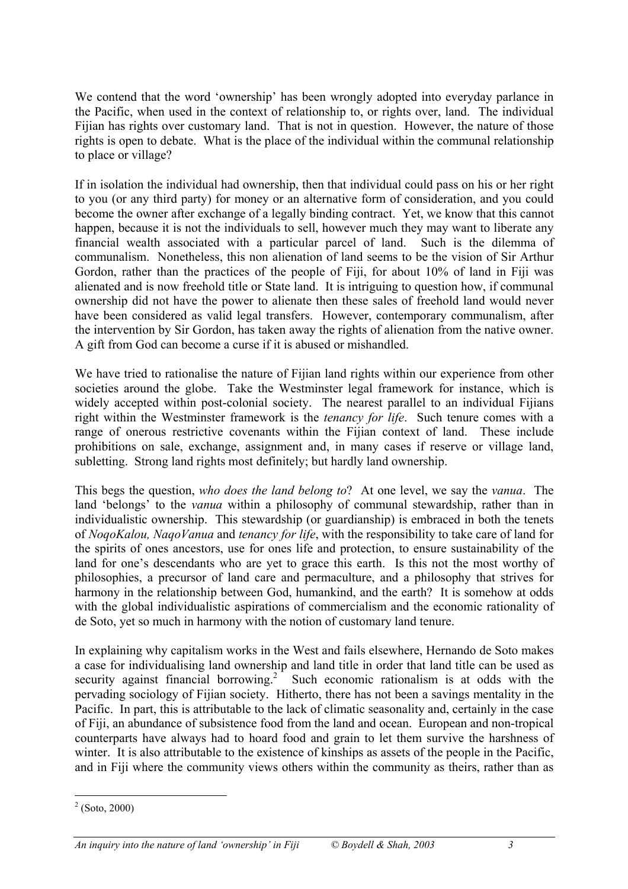We contend that the word 'ownership' has been wrongly adopted into everyday parlance in the Pacific, when used in the context of relationship to, or rights over, land. The individual Fijian has rights over customary land. That is not in question. However, the nature of those rights is open to debate. What is the place of the individual within the communal relationship to place or village?

If in isolation the individual had ownership, then that individual could pass on his or her right to you (or any third party) for money or an alternative form of consideration, and you could become the owner after exchange of a legally binding contract. Yet, we know that this cannot happen, because it is not the individuals to sell, however much they may want to liberate any financial wealth associated with a particular parcel of land. Such is the dilemma of communalism. Nonetheless, this non alienation of land seems to be the vision of Sir Arthur Gordon, rather than the practices of the people of Fiji, for about 10% of land in Fiji was alienated and is now freehold title or State land. It is intriguing to question how, if communal ownership did not have the power to alienate then these sales of freehold land would never have been considered as valid legal transfers. However, contemporary communalism, after the intervention by Sir Gordon, has taken away the rights of alienation from the native owner. A gift from God can become a curse if it is abused or mishandled.

We have tried to rationalise the nature of Fijian land rights within our experience from other societies around the globe. Take the Westminster legal framework for instance, which is widely accepted within post-colonial society. The nearest parallel to an individual Fijians right within the Westminster framework is the *tenancy for life*. Such tenure comes with a range of onerous restrictive covenants within the Fijian context of land. These include prohibitions on sale, exchange, assignment and, in many cases if reserve or village land, subletting. Strong land rights most definitely; but hardly land ownership.

This begs the question, *who does the land belong to*? At one level, we say the *vanua*. The land 'belongs' to the *vanua* within a philosophy of communal stewardship, rather than in individualistic ownership. This stewardship (or guardianship) is embraced in both the tenets of *NoqoKalou, NaqoVanua* and *tenancy for life*, with the responsibility to take care of land for the spirits of ones ancestors, use for ones life and protection, to ensure sustainability of the land for one's descendants who are yet to grace this earth. Is this not the most worthy of philosophies, a precursor of land care and permaculture, and a philosophy that strives for harmony in the relationship between God, humankind, and the earth? It is somehow at odds with the global individualistic aspirations of commercialism and the economic rationality of de Soto, yet so much in harmony with the notion of customary land tenure.

In explaining why capitalism works in the West and fails elsewhere, Hernando de Soto makes a case for individualising land ownership and land title in order that land title can be used as security against financial borrowing.<sup>2</sup> Such economic rationalism is at odds with the pervading sociology of Fijian society. Hitherto, there has not been a savings mentality in the Pacific. In part, this is attributable to the lack of climatic seasonality and, certainly in the case of Fiji, an abundance of subsistence food from the land and ocean. European and non-tropical counterparts have always had to hoard food and grain to let them survive the harshness of winter. It is also attributable to the existence of kinships as assets of the people in the Pacific, and in Fiji where the community views others within the community as theirs, rather than as

<span id="page-2-0"></span> $\overline{a}$  $2$  (Soto, 2000)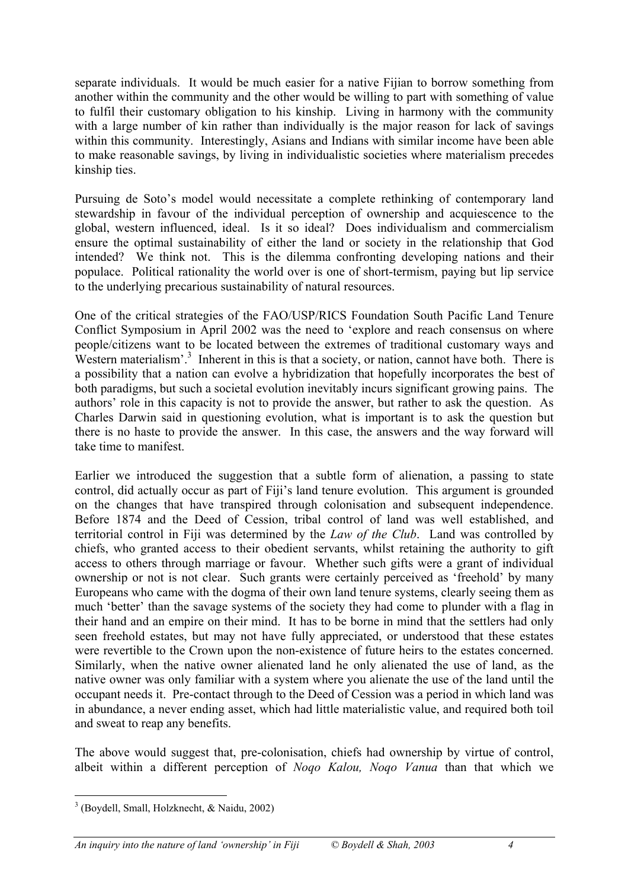separate individuals. It would be much easier for a native Fijian to borrow something from another within the community and the other would be willing to part with something of value to fulfil their customary obligation to his kinship. Living in harmony with the community with a large number of kin rather than individually is the major reason for lack of savings within this community. Interestingly, Asians and Indians with similar income have been able to make reasonable savings, by living in individualistic societies where materialism precedes kinship ties.

Pursuing de Soto's model would necessitate a complete rethinking of contemporary land stewardship in favour of the individual perception of ownership and acquiescence to the global, western influenced, ideal. Is it so ideal? Does individualism and commercialism ensure the optimal sustainability of either the land or society in the relationship that God intended? We think not. This is the dilemma confronting developing nations and their populace. Political rationality the world over is one of short-termism, paying but lip service to the underlying precarious sustainability of natural resources.

One of the critical strategies of the FAO/USP/RICS Foundation South Pacific Land Tenure Conflict Symposium in April 2002 was the need to 'explore and reach consensus on where people/citizens want to be located between the extremes of traditional customary ways and Western materialism'.<sup>[3](#page-3-0)</sup> Inherent in this is that a society, or nation, cannot have both. There is a possibility that a nation can evolve a hybridization that hopefully incorporates the best of both paradigms, but such a societal evolution inevitably incurs significant growing pains. The authors' role in this capacity is not to provide the answer, but rather to ask the question. As Charles Darwin said in questioning evolution, what is important is to ask the question but there is no haste to provide the answer. In this case, the answers and the way forward will take time to manifest.

Earlier we introduced the suggestion that a subtle form of alienation, a passing to state control, did actually occur as part of Fiji's land tenure evolution. This argument is grounded on the changes that have transpired through colonisation and subsequent independence. Before 1874 and the Deed of Cession, tribal control of land was well established, and territorial control in Fiji was determined by the *Law of the Club*. Land was controlled by chiefs, who granted access to their obedient servants, whilst retaining the authority to gift access to others through marriage or favour. Whether such gifts were a grant of individual ownership or not is not clear. Such grants were certainly perceived as 'freehold' by many Europeans who came with the dogma of their own land tenure systems, clearly seeing them as much 'better' than the savage systems of the society they had come to plunder with a flag in their hand and an empire on their mind. It has to be borne in mind that the settlers had only seen freehold estates, but may not have fully appreciated, or understood that these estates were revertible to the Crown upon the non-existence of future heirs to the estates concerned. Similarly, when the native owner alienated land he only alienated the use of land, as the native owner was only familiar with a system where you alienate the use of the land until the occupant needs it. Pre-contact through to the Deed of Cession was a period in which land was in abundance, a never ending asset, which had little materialistic value, and required both toil and sweat to reap any benefits.

The above would suggest that, pre-colonisation, chiefs had ownership by virtue of control, albeit within a different perception of *Noqo Kalou, Noqo Vanua* than that which we

<span id="page-3-0"></span><sup>3</sup> (Boydell, Small, Holzknecht, & Naidu, 2002)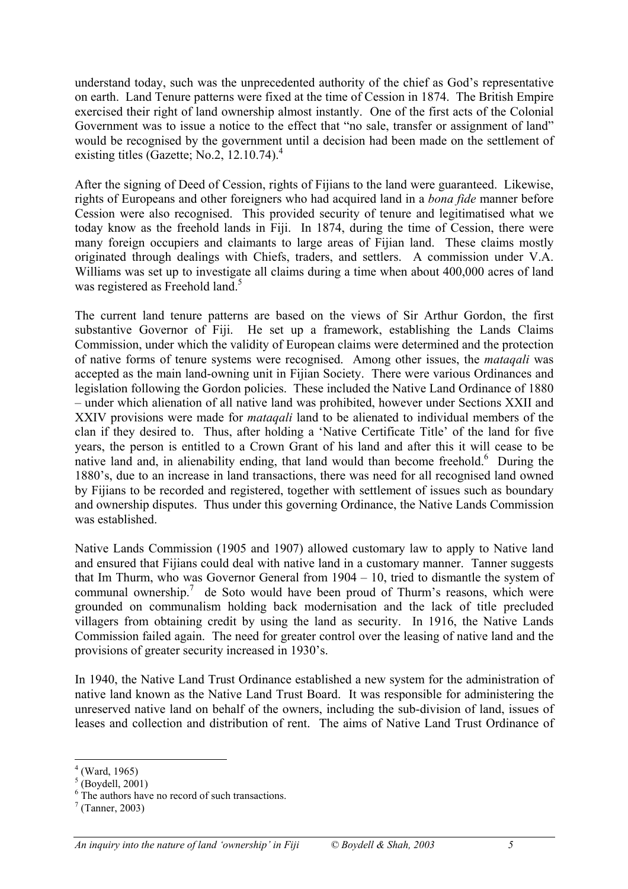understand today, such was the unprecedented authority of the chief as God's representative on earth. Land Tenure patterns were fixed at the time of Cession in 1874. The British Empire exercised their right of land ownership almost instantly. One of the first acts of the Colonial Government was to issue a notice to the effect that "no sale, transfer or assignment of land" would be recognised by the government until a decision had been made on the settlement of existing titles (Gazette; No.2, 12.10.74). $4$ 

After the signing of Deed of Cession, rights of Fijians to the land were guaranteed. Likewise, rights of Europeans and other foreigners who had acquired land in a *bona fide* manner before Cession were also recognised. This provided security of tenure and legitimatised what we today know as the freehold lands in Fiji. In 1874, during the time of Cession, there were many foreign occupiers and claimants to large areas of Fijian land. These claims mostly originated through dealings with Chiefs, traders, and settlers. A commission under V.A. Williams was set up to investigate all claims during a time when about 400,000 acres of land was registered as Freehold land.<sup>[5](#page-4-1)</sup>

The current land tenure patterns are based on the views of Sir Arthur Gordon, the first substantive Governor of Fiji. He set up a framework, establishing the Lands Claims Commission, under which the validity of European claims were determined and the protection of native forms of tenure systems were recognised. Among other issues, the *mataqali* was accepted as the main land-owning unit in Fijian Society. There were various Ordinances and legislation following the Gordon policies. These included the Native Land Ordinance of 1880 – under which alienation of all native land was prohibited, however under Sections XXII and XXIV provisions were made for *mataqali* land to be alienated to individual members of the clan if they desired to. Thus, after holding a 'Native Certificate Title' of the land for five years, the person is entitled to a Crown Grant of his land and after this it will cease to be native land and, in alienability ending, that land would than become freehold.<sup>6</sup> During the 1880's, due to an increase in land transactions, there was need for all recognised land owned by Fijians to be recorded and registered, together with settlement of issues such as boundary and ownership disputes. Thus under this governing Ordinance, the Native Lands Commission was established.

Native Lands Commission (1905 and 1907) allowed customary law to apply to Native land and ensured that Fijians could deal with native land in a customary manner. Tanner suggests that Im Thurm, who was Governor General from 1904 – 10, tried to dismantle the system of communal ownership.<sup>7</sup> de Soto would have been proud of Thurm's reasons, which were grounded on communalism holding back modernisation and the lack of title precluded villagers from obtaining credit by using the land as security. In 1916, the Native Lands Commission failed again. The need for greater control over the leasing of native land and the provisions of greater security increased in 1930's.

In 1940, the Native Land Trust Ordinance established a new system for the administration of native land known as the Native Land Trust Board. It was responsible for administering the unreserved native land on behalf of the owners, including the sub-division of land, issues of leases and collection and distribution of rent. The aims of Native Land Trust Ordinance of

<span id="page-4-0"></span><sup>4</sup>  $^{4}$  (Ward, 1965)<br><sup>5</sup> (Davdall, 2005)

<span id="page-4-1"></span> $^{\circ}$  (Boydell, 2001)<br> $^{\circ}$  The eythers have

<span id="page-4-2"></span> $6$  The authors have no record of such transactions.

<span id="page-4-3"></span> $<sup>7</sup>$  (Tanner, 2003)</sup>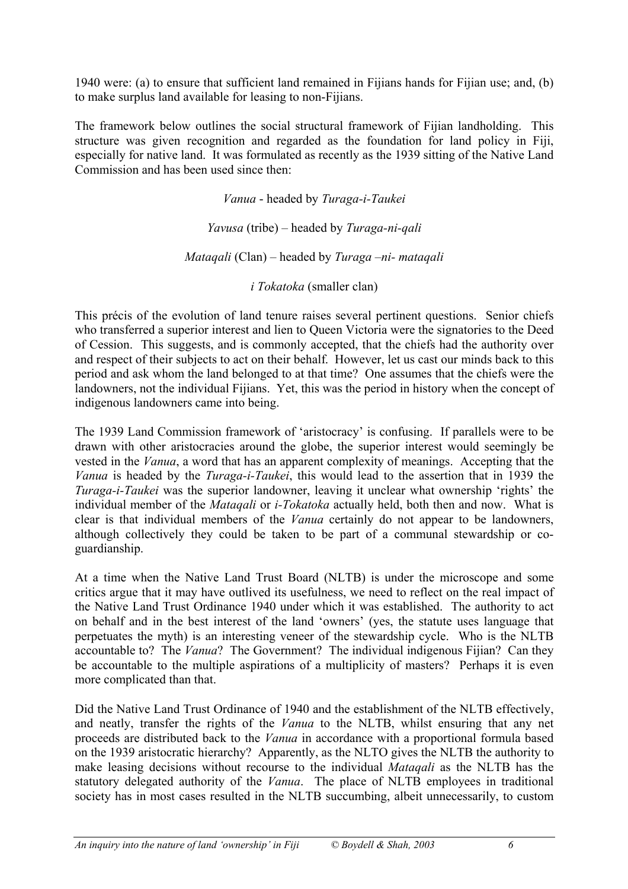1940 were: (a) to ensure that sufficient land remained in Fijians hands for Fijian use; and, (b) to make surplus land available for leasing to non-Fijians.

The framework below outlines the social structural framework of Fijian landholding. This structure was given recognition and regarded as the foundation for land policy in Fiji, especially for native land. It was formulated as recently as the 1939 sitting of the Native Land Commission and has been used since then:

> *Vanua* - headed by *Turaga-i-Taukei Yavusa* (tribe) – headed by *Turaga-ni-qali Mataqali* (Clan) – headed by *Turaga –ni- mataqali*

> > *i Tokatoka* (smaller clan)

This précis of the evolution of land tenure raises several pertinent questions. Senior chiefs who transferred a superior interest and lien to Queen Victoria were the signatories to the Deed of Cession. This suggests, and is commonly accepted, that the chiefs had the authority over and respect of their subjects to act on their behalf. However, let us cast our minds back to this period and ask whom the land belonged to at that time? One assumes that the chiefs were the landowners, not the individual Fijians. Yet, this was the period in history when the concept of indigenous landowners came into being.

The 1939 Land Commission framework of 'aristocracy' is confusing. If parallels were to be drawn with other aristocracies around the globe, the superior interest would seemingly be vested in the *Vanua*, a word that has an apparent complexity of meanings. Accepting that the *Vanua* is headed by the *Turaga-i-Taukei*, this would lead to the assertion that in 1939 the *Turaga-i-Taukei* was the superior landowner, leaving it unclear what ownership 'rights' the individual member of the *Mataqali* or *i-Tokatoka* actually held, both then and now. What is clear is that individual members of the *Vanua* certainly do not appear to be landowners, although collectively they could be taken to be part of a communal stewardship or coguardianship.

At a time when the Native Land Trust Board (NLTB) is under the microscope and some critics argue that it may have outlived its usefulness, we need to reflect on the real impact of the Native Land Trust Ordinance 1940 under which it was established. The authority to act on behalf and in the best interest of the land 'owners' (yes, the statute uses language that perpetuates the myth) is an interesting veneer of the stewardship cycle. Who is the NLTB accountable to? The *Vanua*? The Government? The individual indigenous Fijian? Can they be accountable to the multiple aspirations of a multiplicity of masters? Perhaps it is even more complicated than that.

Did the Native Land Trust Ordinance of 1940 and the establishment of the NLTB effectively, and neatly, transfer the rights of the *Vanua* to the NLTB, whilst ensuring that any net proceeds are distributed back to the *Vanua* in accordance with a proportional formula based on the 1939 aristocratic hierarchy? Apparently, as the NLTO gives the NLTB the authority to make leasing decisions without recourse to the individual *Mataqali* as the NLTB has the statutory delegated authority of the *Vanua*. The place of NLTB employees in traditional society has in most cases resulted in the NLTB succumbing, albeit unnecessarily, to custom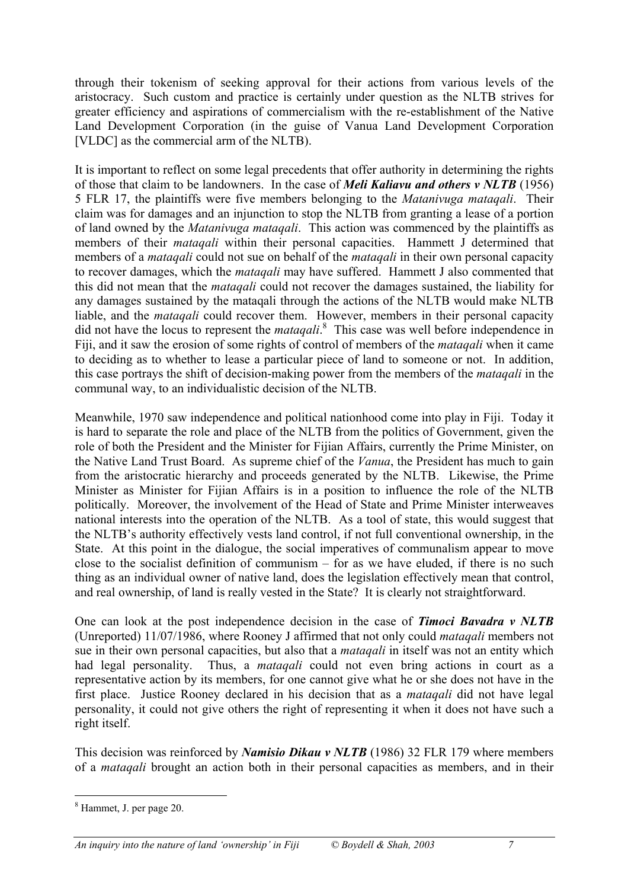through their tokenism of seeking approval for their actions from various levels of the aristocracy. Such custom and practice is certainly under question as the NLTB strives for greater efficiency and aspirations of commercialism with the re-establishment of the Native Land Development Corporation (in the guise of Vanua Land Development Corporation [VLDC] as the commercial arm of the NLTB).

It is important to reflect on some legal precedents that offer authority in determining the rights of those that claim to be landowners. In the case of *Meli Kaliavu and others v NLTB* (1956) 5 FLR 17, the plaintiffs were five members belonging to the *Matanivuga mataqali*. Their claim was for damages and an injunction to stop the NLTB from granting a lease of a portion of land owned by the *Matanivuga mataqali*. This action was commenced by the plaintiffs as members of their *mataqali* within their personal capacities. Hammett J determined that members of a *mataqali* could not sue on behalf of the *mataqali* in their own personal capacity to recover damages, which the *mataqali* may have suffered. Hammett J also commented that this did not mean that the *mataqali* could not recover the damages sustained, the liability for any damages sustained by the mataqali through the actions of the NLTB would make NLTB liable, and the *mataqali* could recover them. However, members in their personal capacity did not have the locus to represent the *mataqali*. [8](#page-6-0) This case was well before independence in Fiji, and it saw the erosion of some rights of control of members of the *mataqali* when it came to deciding as to whether to lease a particular piece of land to someone or not. In addition, this case portrays the shift of decision-making power from the members of the *mataqali* in the communal way, to an individualistic decision of the NLTB.

Meanwhile, 1970 saw independence and political nationhood come into play in Fiji. Today it is hard to separate the role and place of the NLTB from the politics of Government, given the role of both the President and the Minister for Fijian Affairs, currently the Prime Minister, on the Native Land Trust Board. As supreme chief of the *Vanua*, the President has much to gain from the aristocratic hierarchy and proceeds generated by the NLTB. Likewise, the Prime Minister as Minister for Fijian Affairs is in a position to influence the role of the NLTB politically. Moreover, the involvement of the Head of State and Prime Minister interweaves national interests into the operation of the NLTB. As a tool of state, this would suggest that the NLTB's authority effectively vests land control, if not full conventional ownership, in the State. At this point in the dialogue, the social imperatives of communalism appear to move close to the socialist definition of communism – for as we have eluded, if there is no such thing as an individual owner of native land, does the legislation effectively mean that control, and real ownership, of land is really vested in the State? It is clearly not straightforward.

One can look at the post independence decision in the case of *Timoci Bavadra v NLTB* (Unreported) 11/07/1986, where Rooney J affirmed that not only could *mataqali* members not sue in their own personal capacities, but also that a *mataqali* in itself was not an entity which had legal personality. Thus, a *mataqali* could not even bring actions in court as a representative action by its members, for one cannot give what he or she does not have in the first place. Justice Rooney declared in his decision that as a *mataqali* did not have legal personality, it could not give others the right of representing it when it does not have such a right itself.

This decision was reinforced by *Namisio Dikau v NLTB* (1986) 32 FLR 179 where members of a *mataqali* brought an action both in their personal capacities as members, and in their

<span id="page-6-0"></span><sup>8</sup> Hammet, J. per page 20.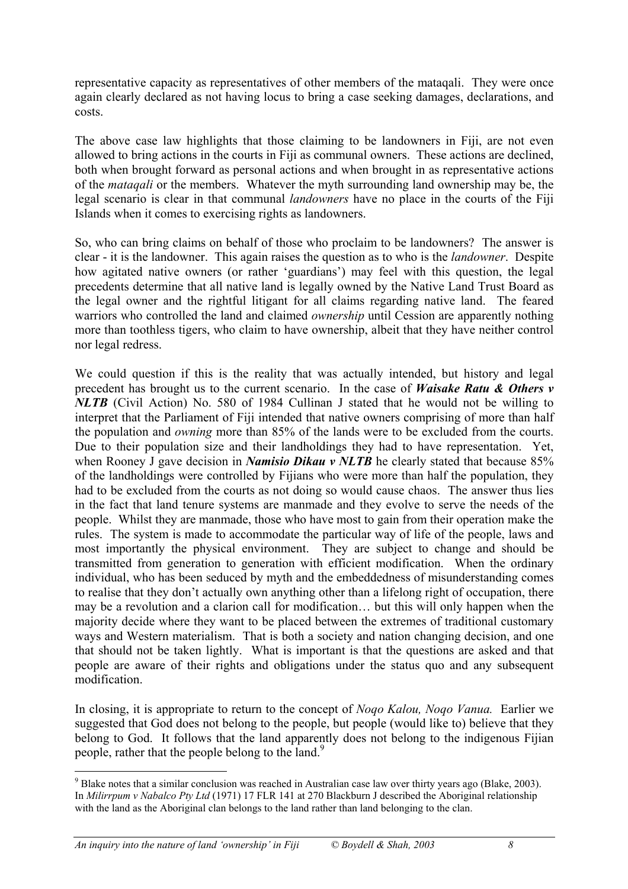representative capacity as representatives of other members of the mataqali. They were once again clearly declared as not having locus to bring a case seeking damages, declarations, and costs.

The above case law highlights that those claiming to be landowners in Fiji, are not even allowed to bring actions in the courts in Fiji as communal owners. These actions are declined, both when brought forward as personal actions and when brought in as representative actions of the *mataqali* or the members. Whatever the myth surrounding land ownership may be, the legal scenario is clear in that communal *landowners* have no place in the courts of the Fiji Islands when it comes to exercising rights as landowners.

So, who can bring claims on behalf of those who proclaim to be landowners? The answer is clear - it is the landowner. This again raises the question as to who is the *landowner*. Despite how agitated native owners (or rather 'guardians') may feel with this question, the legal precedents determine that all native land is legally owned by the Native Land Trust Board as the legal owner and the rightful litigant for all claims regarding native land. The feared warriors who controlled the land and claimed *ownership* until Cession are apparently nothing more than toothless tigers, who claim to have ownership, albeit that they have neither control nor legal redress.

We could question if this is the reality that was actually intended, but history and legal precedent has brought us to the current scenario. In the case of *Waisake Ratu & Others v NLTB* (Civil Action) No. 580 of 1984 Cullinan J stated that he would not be willing to interpret that the Parliament of Fiji intended that native owners comprising of more than half the population and *owning* more than 85% of the lands were to be excluded from the courts. Due to their population size and their landholdings they had to have representation. Yet, when Rooney J gave decision in *Namisio Dikau v NLTB* he clearly stated that because 85% of the landholdings were controlled by Fijians who were more than half the population, they had to be excluded from the courts as not doing so would cause chaos. The answer thus lies in the fact that land tenure systems are manmade and they evolve to serve the needs of the people. Whilst they are manmade, those who have most to gain from their operation make the rules. The system is made to accommodate the particular way of life of the people, laws and most importantly the physical environment. They are subject to change and should be transmitted from generation to generation with efficient modification. When the ordinary individual, who has been seduced by myth and the embeddedness of misunderstanding comes to realise that they don't actually own anything other than a lifelong right of occupation, there may be a revolution and a clarion call for modification… but this will only happen when the majority decide where they want to be placed between the extremes of traditional customary ways and Western materialism. That is both a society and nation changing decision, and one that should not be taken lightly. What is important is that the questions are asked and that people are aware of their rights and obligations under the status quo and any subsequent modification.

In closing, it is appropriate to return to the concept of *Noqo Kalou, Noqo Vanua.* Earlier we suggested that God does not belong to the people, but people (would like to) believe that they belong to God. It follows that the land apparently does not belong to the indigenous Fijian people, rather that the people belong to the land.<sup>9</sup>

<span id="page-7-0"></span> $9^9$  Blake notes that a similar conclusion was reached in Australian case law over thirty years ago (Blake, 2003). In *Milirrpum v Nabalco Pty Ltd* (1971) 17 FLR 141 at 270 Blackburn J described the Aboriginal relationship with the land as the Aboriginal clan belongs to the land rather than land belonging to the clan.